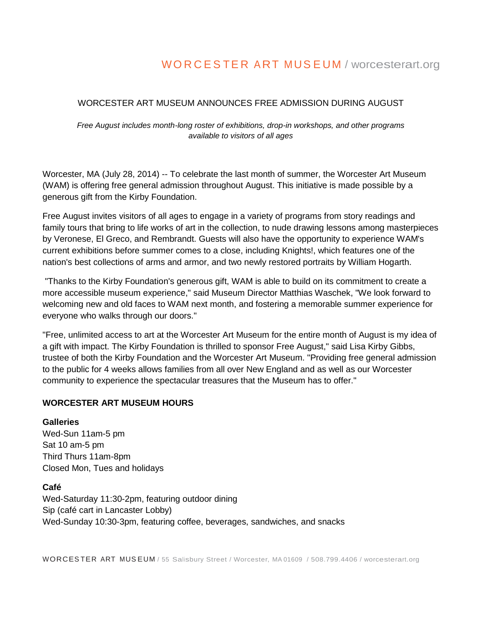# WORCESTER ART MUSEUM / worcesterart.org

#### WORCESTER ART MUSEUM ANNOUNCES FREE ADMISSION DURING AUGUST

*Free August includes month-long roster of exhibitions, drop-in workshops, and other programs available to visitors of all ages*

Worcester, MA (July 28, 2014) -- To celebrate the last month of summer, the Worcester Art Museum (WAM) is offering free general admission throughout August. This initiative is made possible by a generous gift from the Kirby Foundation.

Free August invites visitors of all ages to engage in a variety of programs from story readings and family tours that bring to life works of art in the collection, to nude drawing lessons among masterpieces by Veronese, El Greco, and Rembrandt. Guests will also have the opportunity to experience WAM's current exhibitions before summer comes to a close, including Knights!, which features one of the nation's best collections of arms and armor, and two newly restored portraits by William Hogarth.

"Thanks to the Kirby Foundation's generous gift, WAM is able to build on its commitment to create a more accessible museum experience," said Museum Director Matthias Waschek, "We look forward to welcoming new and old faces to WAM next month, and fostering a memorable summer experience for everyone who walks through our doors."

"Free, unlimited access to art at the Worcester Art Museum for the entire month of August is my idea of a gift with impact. The Kirby Foundation is thrilled to sponsor Free August," said Lisa Kirby Gibbs, trustee of both the Kirby Foundation and the Worcester Art Museum. "Providing free general admission to the public for 4 weeks allows families from all over New England and as well as our Worcester community to experience the spectacular treasures that the Museum has to offer."

#### **WORCESTER ART MUSEUM HOURS**

#### **Galleries**

Wed-Sun 11am-5 pm Sat 10 am-5 pm Third Thurs 11am-8pm Closed Mon, Tues and holidays

#### **Café**

Wed-Saturday 11:30-2pm, featuring outdoor dining Sip (café cart in Lancaster Lobby) Wed-Sunday 10:30-3pm, featuring coffee, beverages, sandwiches, and snacks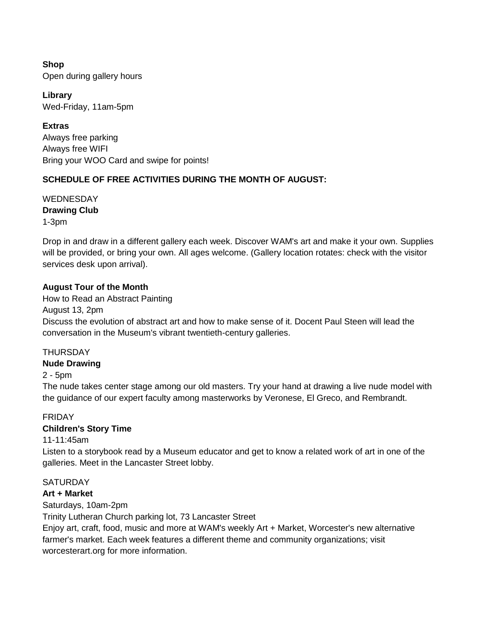# **Shop** Open during gallery hours

**Library** Wed-Friday, 11am-5pm

**Extras** Always free parking Always free WIFI Bring your WOO Card and swipe for points!

# **SCHEDULE OF FREE ACTIVITIES DURING THE MONTH OF AUGUST:**

WEDNESDAY **Drawing Club** 1-3pm

Drop in and draw in a different gallery each week. Discover WAM's art and make it your own. Supplies will be provided, or bring your own. All ages welcome. (Gallery location rotates: check with the visitor services desk upon arrival).

# **August Tour of the Month**

How to Read an Abstract Painting

August 13, 2pm

Discuss the evolution of abstract art and how to make sense of it. Docent Paul Steen will lead the conversation in the Museum's vibrant twentieth-century galleries.

# THURSDAY

# **Nude Drawing**

2 - 5pm

The nude takes center stage among our old masters. Try your hand at drawing a live nude model with the guidance of our expert faculty among masterworks by Veronese, El Greco, and Rembrandt.

# FRIDAY

# **Children's Story Time**

# 11-11:45am

Listen to a storybook read by a Museum educator and get to know a related work of art in one of the galleries. Meet in the Lancaster Street lobby.

# **SATURDAY**

# **Art + Market**

Saturdays, 10am-2pm

Trinity Lutheran Church parking lot, 73 Lancaster Street

Enjoy art, craft, food, music and more at WAM's weekly Art + Market, Worcester's new alternative farmer's market. Each week features a different theme and community organizations; visit worcesterart.org for more information.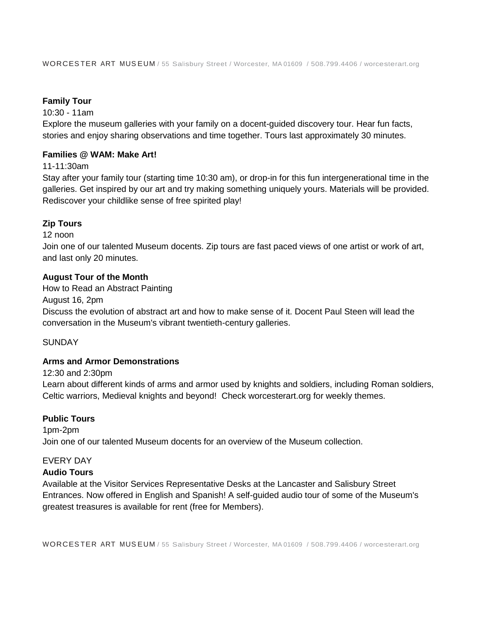WORCESTER ART MUSEUM / 55 Salisbury Street / Worcester, MA 01609 / 508.799.4406 / worcesterart.org

#### **Family Tour**

#### 10:30 - 11am

Explore the museum galleries with your family on a docent-guided discovery tour. Hear fun facts, stories and enjoy sharing observations and time together. Tours last approximately 30 minutes.

#### **Families @ WAM: Make Art!**

11-11:30am

Stay after your family tour (starting time 10:30 am), or drop-in for this fun intergenerational time in the galleries. Get inspired by our art and try making something uniquely yours. Materials will be provided. Rediscover your childlike sense of free spirited play!

#### **Zip Tours**

12 noon

Join one of our talented Museum docents. Zip tours are fast paced views of one artist or work of art, and last only 20 minutes.

#### **August Tour of the Month**

How to Read an Abstract Painting

August 16, 2pm

Discuss the evolution of abstract art and how to make sense of it. Docent Paul Steen will lead the conversation in the Museum's vibrant twentieth-century galleries.

#### SUNDAY

#### **Arms and Armor Demonstrations**

12:30 and 2:30pm

Learn about different kinds of arms and armor used by knights and soldiers, including Roman soldiers, Celtic warriors, Medieval knights and beyond! Check worcesterart.org for weekly themes.

#### **Public Tours**

1pm-2pm Join one of our talented Museum docents for an overview of the Museum collection.

#### EVERY DAY

#### **Audio Tours**

Available at the Visitor Services Representative Desks at the Lancaster and Salisbury Street Entrances. Now offered in English and Spanish! A self-guided audio tour of some of the Museum's greatest treasures is available for rent (free for Members).

WORCESTER ART MUSEUM / 55 Salisbury Street / Worcester, MA 01609 / 508.799.4406 / worcesterart.org